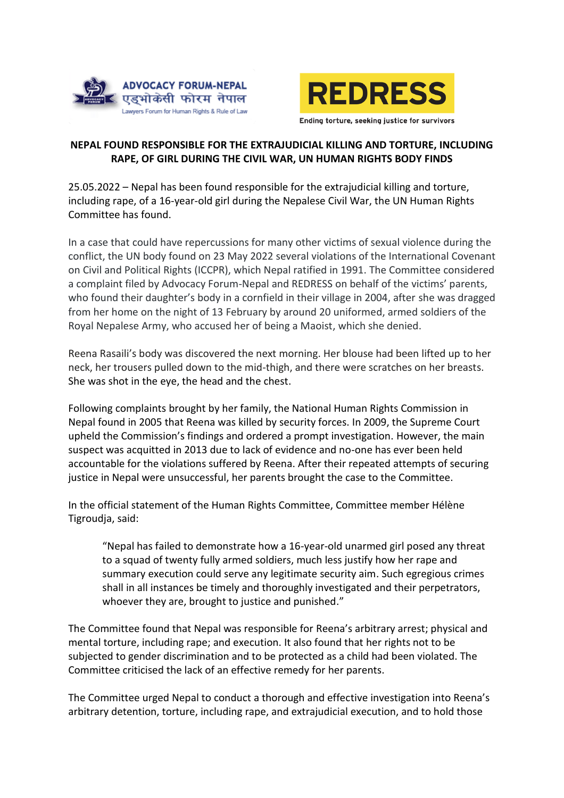



# **NEPAL FOUND RESPONSIBLE FOR THE EXTRAJUDICIAL KILLING AND TORTURE, INCLUDING RAPE, OF GIRL DURING THE CIVIL WAR, UN HUMAN RIGHTS BODY FINDS**

25.05.2022 – Nepal has been found responsible for the extrajudicial killing and torture, including rape, of a 16-year-old girl during the Nepalese Civil War, the UN Human Rights Committee has found.

In a case that could have repercussions for many other victims of sexual violence during the conflict, the UN body found on 23 May 2022 several violations of the International Covenant on Civil and Political Rights (ICCPR), which Nepal ratified in 1991. The Committee considered a complaint filed by Advocacy Forum-Nepal and REDRESS on behalf of the victims' parents, who found their daughter's body in a cornfield in their village in 2004, after she was dragged from her home on the night of 13 February by around 20 uniformed, armed soldiers of the Royal Nepalese Army, who accused her of being a Maoist, which she denied.

Reena Rasaili's body was discovered the next morning. Her blouse had been lifted up to her neck, her trousers pulled down to the mid-thigh, and there were scratches on her breasts. She was shot in the eye, the head and the chest.

Following complaints brought by her family, the National Human Rights Commission in Nepal found in 2005 that Reena was killed by security forces. In 2009, the Supreme Court upheld the Commission's findings and ordered a prompt investigation. However, the main suspect was acquitted in 2013 due to lack of evidence and no-one has ever been held accountable for the violations suffered by Reena. After their repeated attempts of securing justice in Nepal were unsuccessful, her parents brought the case to the Committee.

In the official statement of the Human Rights Committee, Committee member Hélène Tigroudja, said:

"Nepal has failed to demonstrate how a 16-year-old unarmed girl posed any threat to a squad of twenty fully armed soldiers, much less justify how her rape and summary execution could serve any legitimate security aim. Such egregious crimes shall in all instances be timely and thoroughly investigated and their perpetrators, whoever they are, brought to justice and punished."

The Committee found that Nepal was responsible for Reena's arbitrary arrest; physical and mental torture, including rape; and execution. It also found that her rights not to be subjected to gender discrimination and to be protected as a child had been violated. The Committee criticised the lack of an effective remedy for her parents.

The Committee urged Nepal to conduct a thorough and effective investigation into Reena's arbitrary detention, torture, including rape, and extrajudicial execution, and to hold those